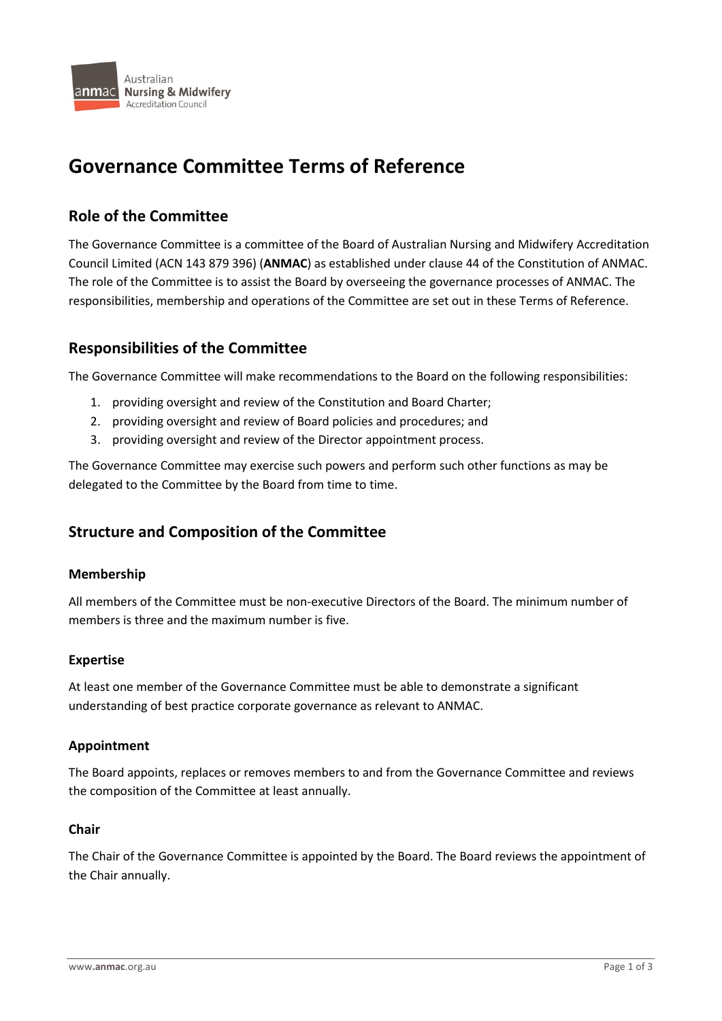

# **Governance Committee Terms of Reference**

# **Role of the Committee**

The Governance Committee is a committee of the Board of Australian Nursing and Midwifery Accreditation Council Limited (ACN 143 879 396) (**ANMAC**) as established under clause 44 of the Constitution of ANMAC. The role of the Committee is to assist the Board by overseeing the governance processes of ANMAC. The responsibilities, membership and operations of the Committee are set out in these Terms of Reference.

# **Responsibilities of the Committee**

The Governance Committee will make recommendations to the Board on the following responsibilities:

- 1. providing oversight and review of the Constitution and Board Charter;
- 2. providing oversight and review of Board policies and procedures; and
- 3. providing oversight and review of the Director appointment process.

The Governance Committee may exercise such powers and perform such other functions as may be delegated to the Committee by the Board from time to time.

# **Structure and Composition of the Committee**

#### **Membership**

All members of the Committee must be non-executive Directors of the Board. The minimum number of members is three and the maximum number is five.

#### **Expertise**

At least one member of the Governance Committee must be able to demonstrate a significant understanding of best practice corporate governance as relevant to ANMAC.

#### **Appointment**

The Board appoints, replaces or removes members to and from the Governance Committee and reviews the composition of the Committee at least annually.

# **Chair**

The Chair of the Governance Committee is appointed by the Board. The Board reviews the appointment of the Chair annually.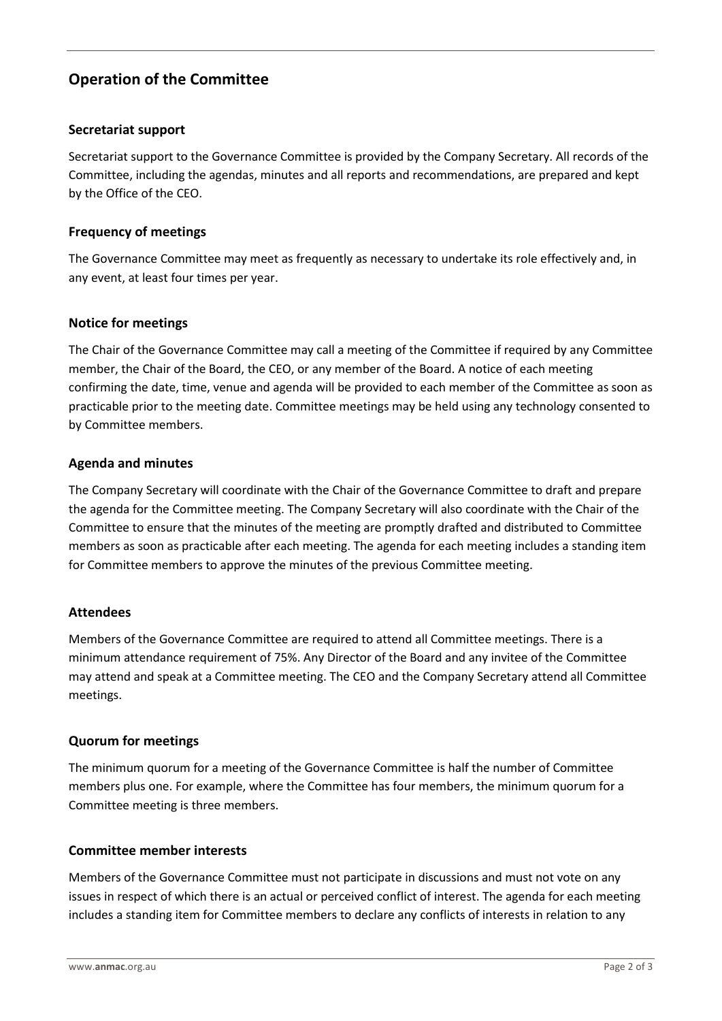# **Operation of the Committee**

## **Secretariat support**

Secretariat support to the Governance Committee is provided by the Company Secretary. All records of the Committee, including the agendas, minutes and all reports and recommendations, are prepared and kept by the Office of the CEO.

# **Frequency of meetings**

The Governance Committee may meet as frequently as necessary to undertake its role effectively and, in any event, at least four times per year.

## **Notice for meetings**

The Chair of the Governance Committee may call a meeting of the Committee if required by any Committee member, the Chair of the Board, the CEO, or any member of the Board. A notice of each meeting confirming the date, time, venue and agenda will be provided to each member of the Committee as soon as practicable prior to the meeting date. Committee meetings may be held using any technology consented to by Committee members.

## **Agenda and minutes**

The Company Secretary will coordinate with the Chair of the Governance Committee to draft and prepare the agenda for the Committee meeting. The Company Secretary will also coordinate with the Chair of the Committee to ensure that the minutes of the meeting are promptly drafted and distributed to Committee members as soon as practicable after each meeting. The agenda for each meeting includes a standing item for Committee members to approve the minutes of the previous Committee meeting.

#### **Attendees**

Members of the Governance Committee are required to attend all Committee meetings. There is a minimum attendance requirement of 75%. Any Director of the Board and any invitee of the Committee may attend and speak at a Committee meeting. The CEO and the Company Secretary attend all Committee meetings.

#### **Quorum for meetings**

The minimum quorum for a meeting of the Governance Committee is half the number of Committee members plus one. For example, where the Committee has four members, the minimum quorum for a Committee meeting is three members.

### **Committee member interests**

Members of the Governance Committee must not participate in discussions and must not vote on any issues in respect of which there is an actual or perceived conflict of interest. The agenda for each meeting includes a standing item for Committee members to declare any conflicts of interests in relation to any